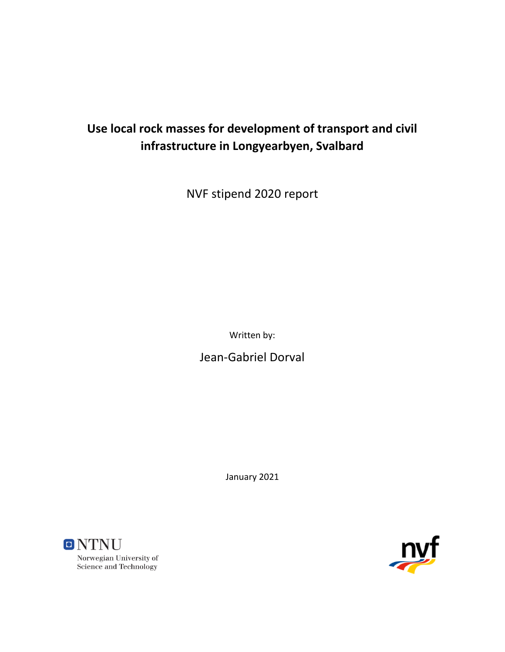# **Use local rock masses for development of transport and civil infrastructure in Longyearbyen, Svalbard**

NVF stipend 2020 report

Written by:

Jean-Gabriel Dorval

January 2021



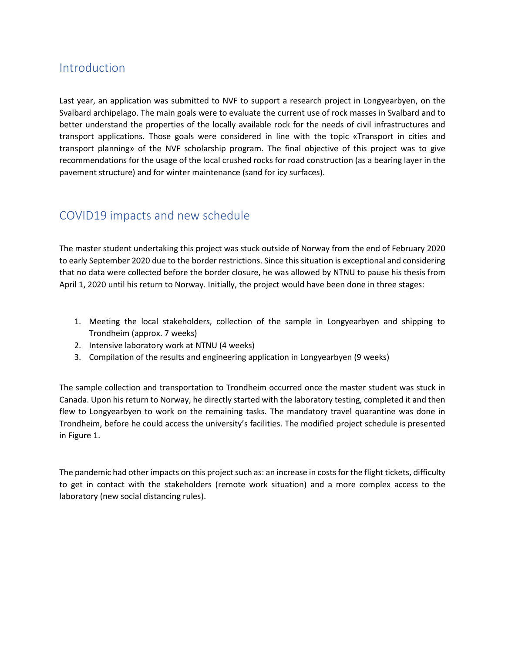### Introduction

Last year, an application was submitted to NVF to support a research project in Longyearbyen, on the Svalbard archipelago. The main goals were to evaluate the current use of rock masses in Svalbard and to better understand the properties of the locally available rock for the needs of civil infrastructures and transport applications. Those goals were considered in line with the topic «Transport in cities and transport planning» of the NVF scholarship program. The final objective of this project was to give recommendations for the usage of the local crushed rocks for road construction (as a bearing layer in the pavement structure) and for winter maintenance (sand for icy surfaces).

#### COVID19 impacts and new schedule

The master student undertaking this project was stuck outside of Norway from the end of February 2020 to early September 2020 due to the border restrictions. Since this situation is exceptional and considering that no data were collected before the border closure, he was allowed by NTNU to pause his thesis from April 1, 2020 until his return to Norway. Initially, the project would have been done in three stages:

- 1. Meeting the local stakeholders, collection of the sample in Longyearbyen and shipping to Trondheim (approx. 7 weeks)
- 2. Intensive laboratory work at NTNU (4 weeks)
- 3. Compilation of the results and engineering application in Longyearbyen (9 weeks)

The sample collection and transportation to Trondheim occurred once the master student was stuck in Canada. Upon his return to Norway, he directly started with the laboratory testing, completed it and then flew to Longyearbyen to work on the remaining tasks. The mandatory travel quarantine was done in Trondheim, before he could access the university's facilities. The modified project schedule is presented in [Figure 1.](#page-2-0)

The pandemic had other impacts on this project such as: an increase in costs for the flight tickets, difficulty to get in contact with the stakeholders (remote work situation) and a more complex access to the laboratory (new social distancing rules).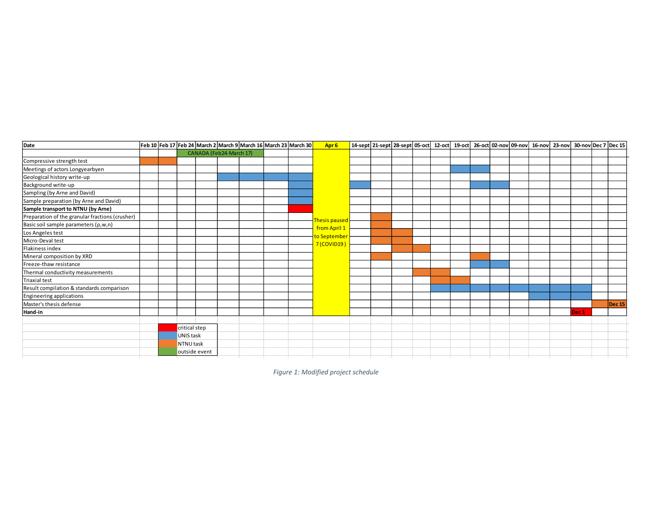| <b>Date</b>                                     |  |               |  |                         | Feb 10 Feb 17 Feb 24 March 2 March 9 March 16 March 23 March 30 | Apr <sub>6</sub>     |  |  |  |  | 14-sept 21-sept 28-sept 05-oct 12-oct 19-oct 26-oct 02-nov 09-nov 16-nov 23-nov 30-nov Dec 7 Dec 15 |                  |               |
|-------------------------------------------------|--|---------------|--|-------------------------|-----------------------------------------------------------------|----------------------|--|--|--|--|-----------------------------------------------------------------------------------------------------|------------------|---------------|
|                                                 |  |               |  | CANADA (Feb24-March 17) |                                                                 |                      |  |  |  |  |                                                                                                     |                  |               |
| Compressive strength test                       |  |               |  |                         |                                                                 |                      |  |  |  |  |                                                                                                     |                  |               |
| Meetings of actors Longyearbyen                 |  |               |  |                         |                                                                 |                      |  |  |  |  |                                                                                                     |                  |               |
| Geological history write-up                     |  |               |  |                         |                                                                 |                      |  |  |  |  |                                                                                                     |                  |               |
| Background write-up                             |  |               |  |                         |                                                                 |                      |  |  |  |  |                                                                                                     |                  |               |
| Sampling (by Arne and David)                    |  |               |  |                         |                                                                 |                      |  |  |  |  |                                                                                                     |                  |               |
| Sample preparation (by Arne and David)          |  |               |  |                         |                                                                 |                      |  |  |  |  |                                                                                                     |                  |               |
| Sample transport to NTNU (by Arne)              |  |               |  |                         |                                                                 |                      |  |  |  |  |                                                                                                     |                  |               |
| Preparation of the granular fractions (crusher) |  |               |  |                         |                                                                 | <b>Thesis paused</b> |  |  |  |  |                                                                                                     |                  |               |
| Basic soil sample parameters (p,w,n)            |  |               |  |                         |                                                                 | from April 1         |  |  |  |  |                                                                                                     |                  |               |
| Los Angeles test                                |  |               |  |                         |                                                                 | to September         |  |  |  |  |                                                                                                     |                  |               |
| Micro-Deval test                                |  |               |  |                         |                                                                 | 7 (COVID19)          |  |  |  |  |                                                                                                     |                  |               |
| Flakiness index                                 |  |               |  |                         |                                                                 |                      |  |  |  |  |                                                                                                     |                  |               |
| Mineral composition by XRD                      |  |               |  |                         |                                                                 |                      |  |  |  |  |                                                                                                     |                  |               |
| Freeze-thaw resistance                          |  |               |  |                         |                                                                 |                      |  |  |  |  |                                                                                                     |                  |               |
| Thermal conductivity measurements               |  |               |  |                         |                                                                 |                      |  |  |  |  |                                                                                                     |                  |               |
| <b>Triaxial test</b>                            |  |               |  |                         |                                                                 |                      |  |  |  |  |                                                                                                     |                  |               |
| Result compilation & standards comparison       |  |               |  |                         |                                                                 |                      |  |  |  |  |                                                                                                     |                  |               |
| <b>Engineering applications</b>                 |  |               |  |                         |                                                                 |                      |  |  |  |  |                                                                                                     |                  |               |
| Master's thesis defense                         |  |               |  |                         |                                                                 |                      |  |  |  |  |                                                                                                     |                  | <b>Dec 15</b> |
| Hand-in                                         |  |               |  |                         |                                                                 |                      |  |  |  |  |                                                                                                     | Dec <sub>1</sub> |               |
|                                                 |  |               |  |                         |                                                                 |                      |  |  |  |  |                                                                                                     |                  |               |
|                                                 |  | critical step |  |                         |                                                                 |                      |  |  |  |  |                                                                                                     |                  |               |
|                                                 |  | UNIS task     |  |                         |                                                                 |                      |  |  |  |  |                                                                                                     |                  |               |
|                                                 |  | NTNU task     |  |                         |                                                                 |                      |  |  |  |  |                                                                                                     |                  |               |
|                                                 |  | outside event |  |                         |                                                                 |                      |  |  |  |  |                                                                                                     |                  |               |

<span id="page-2-0"></span>*Figure 1: Modified project schedule*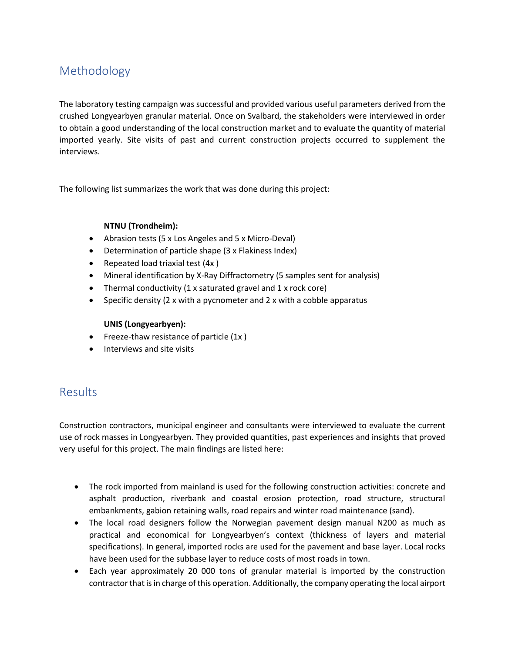## Methodology

The laboratory testing campaign was successful and provided various useful parameters derived from the crushed Longyearbyen granular material. Once on Svalbard, the stakeholders were interviewed in order to obtain a good understanding of the local construction market and to evaluate the quantity of material imported yearly. Site visits of past and current construction projects occurred to supplement the interviews.

The following list summarizes the work that was done during this project:

#### **NTNU (Trondheim):**

- Abrasion tests (5 x Los Angeles and 5 x Micro-Deval)
- Determination of particle shape (3 x Flakiness Index)
- Repeated load triaxial test (4x )
- Mineral identification by X-Ray Diffractometry (5 samples sent for analysis)
- Thermal conductivity (1 x saturated gravel and 1 x rock core)
- Specific density (2 x with a pycnometer and 2 x with a cobble apparatus

#### **UNIS (Longyearbyen):**

- Freeze-thaw resistance of particle (1x)
- Interviews and site visits

#### Results

Construction contractors, municipal engineer and consultants were interviewed to evaluate the current use of rock masses in Longyearbyen. They provided quantities, past experiences and insights that proved very useful for this project. The main findings are listed here:

- The rock imported from mainland is used for the following construction activities: concrete and asphalt production, riverbank and coastal erosion protection, road structure, structural embankments, gabion retaining walls, road repairs and winter road maintenance (sand).
- The local road designers follow the Norwegian pavement design manual N200 as much as practical and economical for Longyearbyen's context (thickness of layers and material specifications). In general, imported rocks are used for the pavement and base layer. Local rocks have been used for the subbase layer to reduce costs of most roads in town.
- Each year approximately 20 000 tons of granular material is imported by the construction contractor that is in charge of this operation. Additionally, the company operating the local airport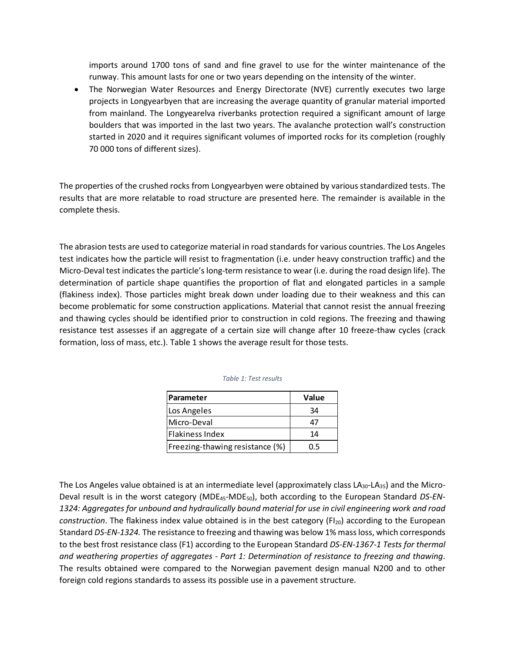imports around 1700 tons of sand and fine gravel to use for the winter maintenance of the runway. This amount lasts for one or two years depending on the intensity of the winter.

• The Norwegian Water Resources and Energy Directorate (NVE) currently executes two large projects in Longyearbyen that are increasing the average quantity of granular material imported from mainland. The Longyearelva riverbanks protection required a significant amount of large boulders that was imported in the last two years. The avalanche protection wall's construction started in 2020 and it requires significant volumes of imported rocks for its completion (roughly 70 000 tons of different sizes).

The properties of the crushed rocks from Longyearbyen were obtained by various standardized tests. The results that are more relatable to road structure are presented here. The remainder is available in the complete thesis.

The abrasion tests are used to categorize material in road standards for various countries. The Los Angeles test indicates how the particle will resist to fragmentation (i.e. under heavy construction traffic) and the Micro-Deval test indicates the particle's long-term resistance to wear (i.e. during the road design life). The determination of particle shape quantifies the proportion of flat and elongated particles in a sample (flakiness index). Those particles might break down under loading due to their weakness and this can become problematic for some construction applications. Material that cannot resist the annual freezing and thawing cycles should be identified prior to construction in cold regions. The freezing and thawing resistance test assesses if an aggregate of a certain size will change after 10 freeze-thaw cycles (crack formation, loss of mass, etc.). [Table 1](#page-4-0) shows the average result for those tests.

| Parameter                       | Value |  |  |  |  |
|---------------------------------|-------|--|--|--|--|
| Los Angeles                     | 34    |  |  |  |  |
| Micro-Deval                     | 47    |  |  |  |  |
| Flakiness Index                 | 14    |  |  |  |  |
| Freezing-thawing resistance (%) | n 5   |  |  |  |  |

| Table 1: Test results |  |  |
|-----------------------|--|--|
|-----------------------|--|--|

<span id="page-4-0"></span>The Los Angeles value obtained is at an intermediate level (approximately class  $LA_{30}$ -LA<sub>35</sub>) and the Micro-Deval result is in the worst category (MDE45-MDE50), both according to the European Standard *DS-EN-1324: Aggregates for unbound and hydraulically bound material for use in civil engineering work and road construction*. The flakiness index value obtained is in the best category (FI<sub>20</sub>) according to the European Standard *DS-EN-1324.* The resistance to freezing and thawing was below 1% mass loss, which corresponds to the best frost resistance class (F1) according to the European Standard *DS-EN-1367-1 Tests for thermal and weathering properties of aggregates - Part 1: Determination of resistance to freezing and thawing*. The results obtained were compared to the Norwegian pavement design manual N200 and to other foreign cold regions standards to assess its possible use in a pavement structure.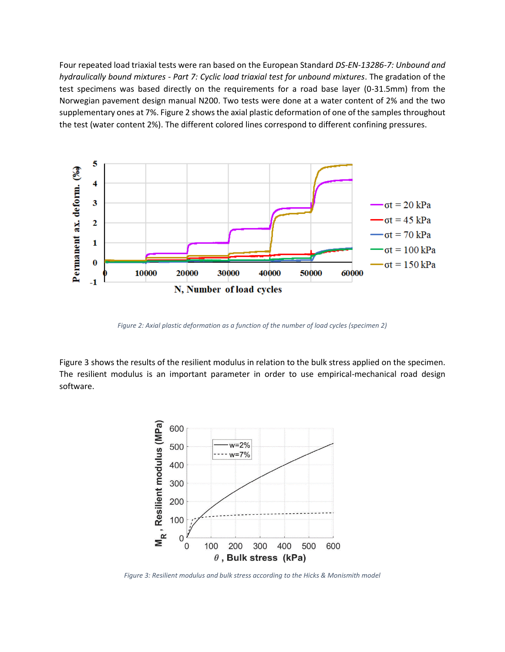Four repeated load triaxial tests were ran based on the European Standard *DS-EN-13286-7: Unbound and hydraulically bound mixtures - Part 7: Cyclic load triaxial test for unbound mixtures*. The gradation of the test specimens was based directly on the requirements for a road base layer (0-31.5mm) from the Norwegian pavement design manual N200. Two tests were done at a water content of 2% and the two supplementary ones at 7%[. Figure 2](#page-5-0) shows the axial plastic deformation of one of the samples throughout the test (water content 2%). The different colored lines correspond to different confining pressures.



*Figure 2: Axial plastic deformation as a function of the number of load cycles (specimen 2)*

<span id="page-5-0"></span>[Figure 3](#page-5-1) shows the results of the resilient modulus in relation to the bulk stress applied on the specimen. The resilient modulus is an important parameter in order to use empirical-mechanical road design software.



<span id="page-5-1"></span>*Figure 3: Resilient modulus and bulk stress according to the Hicks & Monismith model*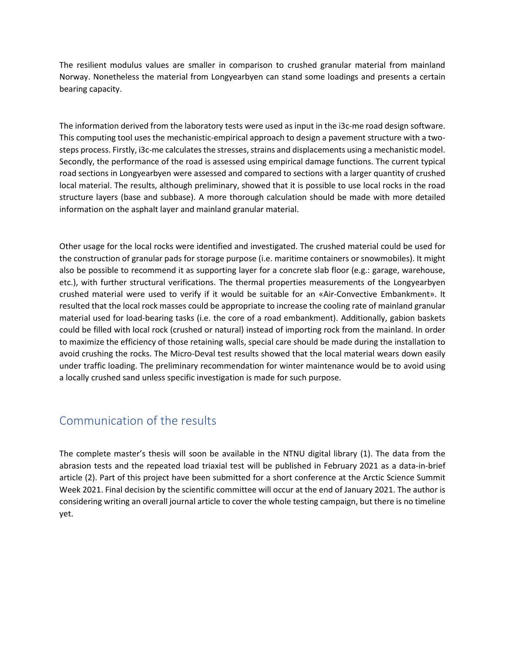The resilient modulus values are smaller in comparison to crushed granular material from mainland Norway. Nonetheless the material from Longyearbyen can stand some loadings and presents a certain bearing capacity.

The information derived from the laboratory tests were used as input in the i3c-me road design software. This computing tool uses the mechanistic-empirical approach to design a pavement structure with a twosteps process. Firstly, i3c-me calculates the stresses, strains and displacements using a mechanistic model. Secondly, the performance of the road is assessed using empirical damage functions. The current typical road sections in Longyearbyen were assessed and compared to sections with a larger quantity of crushed local material. The results, although preliminary, showed that it is possible to use local rocks in the road structure layers (base and subbase). A more thorough calculation should be made with more detailed information on the asphalt layer and mainland granular material.

Other usage for the local rocks were identified and investigated. The crushed material could be used for the construction of granular pads for storage purpose (i.e. maritime containers or snowmobiles). It might also be possible to recommend it as supporting layer for a concrete slab floor (e.g.: garage, warehouse, etc.), with further structural verifications. The thermal properties measurements of the Longyearbyen crushed material were used to verify if it would be suitable for an «Air-Convective Embankment». It resulted that the local rock masses could be appropriate to increase the cooling rate of mainland granular material used for load-bearing tasks (i.e. the core of a road embankment). Additionally, gabion baskets could be filled with local rock (crushed or natural) instead of importing rock from the mainland. In order to maximize the efficiency of those retaining walls, special care should be made during the installation to avoid crushing the rocks. The Micro-Deval test results showed that the local material wears down easily under traffic loading. The preliminary recommendation for winter maintenance would be to avoid using a locally crushed sand unless specific investigation is made for such purpose.

#### Communication of the results

The complete master's thesis will soon be available in the NTNU digital library (1). The data from the abrasion tests and the repeated load triaxial test will be published in February 2021 as a data-in-brief article (2). Part of this project have been submitted for a short conference at the Arctic Science Summit Week 2021. Final decision by the scientific committee will occur at the end of January 2021. The author is considering writing an overall journal article to cover the whole testing campaign, but there is no timeline yet.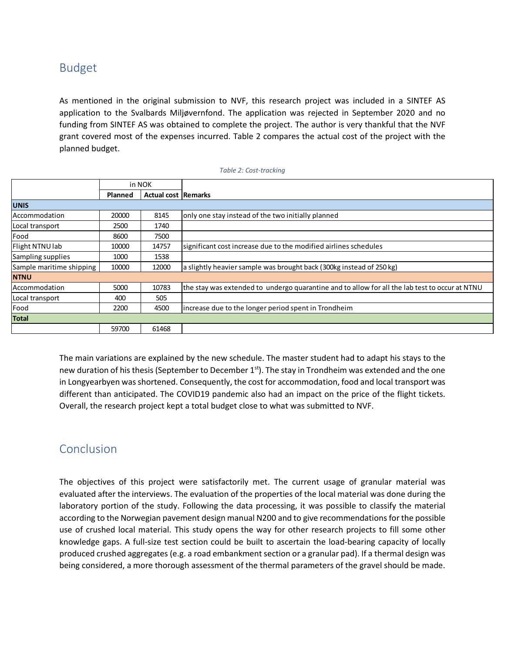## Budget

As mentioned in the original submission to NVF, this research project was included in a SINTEF AS application to the Svalbards Miljøvernfond. The application was rejected in September 2020 and no funding from SINTEF AS was obtained to complete the project. The author is very thankful that the NVF grant covered most of the expenses incurred. [Table 2](#page-7-0) compares the actual cost of the project with the planned budget.

<span id="page-7-0"></span>

|                          |                                       | in NOK |                                                                                                |
|--------------------------|---------------------------------------|--------|------------------------------------------------------------------------------------------------|
|                          | <b>Actual cost Remarks</b><br>Planned |        |                                                                                                |
| <b>UNIS</b>              |                                       |        |                                                                                                |
| Accommodation            | 20000                                 | 8145   | only one stay instead of the two initially planned                                             |
| Local transport          | 2500                                  | 1740   |                                                                                                |
| Food                     | 8600                                  | 7500   |                                                                                                |
| Flight NTNU lab          | 10000                                 | 14757  | significant cost increase due to the modified airlines schedules                               |
| Sampling supplies        | 1000                                  | 1538   |                                                                                                |
| Sample maritime shipping | 10000                                 | 12000  | a slightly heavier sample was brought back (300kg instead of 250 kg)                           |
| <b>NTNU</b>              |                                       |        |                                                                                                |
| Accommodation            | 5000                                  | 10783  | the stay was extended to undergo quarantine and to allow for all the lab test to occur at NTNU |
| Local transport          | 400                                   | 505    |                                                                                                |
| Food                     | 2200                                  | 4500   | lincrease due to the longer period spent in Trondheim                                          |
| <b>Total</b>             |                                       |        |                                                                                                |
|                          | 59700                                 | 61468  |                                                                                                |

#### *Table 2: Cost-tracking*

The main variations are explained by the new schedule. The master student had to adapt his stays to the new duration of his thesis (September to December 1<sup>st</sup>). The stay in Trondheim was extended and the one in Longyearbyen was shortened. Consequently, the cost for accommodation, food and local transport was different than anticipated. The COVID19 pandemic also had an impact on the price of the flight tickets. Overall, the research project kept a total budget close to what was submitted to NVF.

## Conclusion

The objectives of this project were satisfactorily met. The current usage of granular material was evaluated after the interviews. The evaluation of the properties of the local material was done during the laboratory portion of the study. Following the data processing, it was possible to classify the material according to the Norwegian pavement design manual N200 and to give recommendations for the possible use of crushed local material. This study opens the way for other research projects to fill some other knowledge gaps. A full-size test section could be built to ascertain the load-bearing capacity of locally produced crushed aggregates (e.g. a road embankment section or a granular pad). If a thermal design was being considered, a more thorough assessment of the thermal parameters of the gravel should be made.